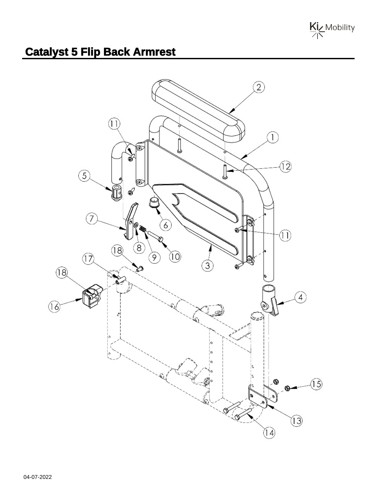

## **Catalyst 5 Flip Back Armrest**

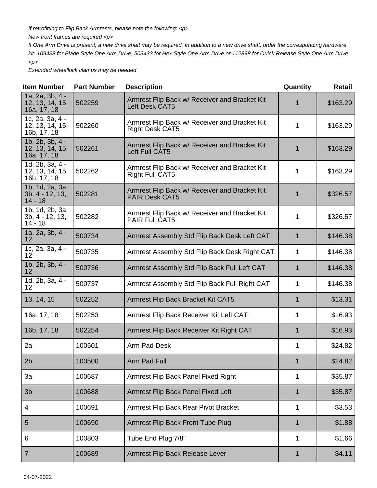If retrofitting to Flip Back Armrests, please note the following: <p>

New front frames are required <p>

If One Arm Drive is present, a new drive shaft may be required. In addition to a new drive shaft, order the corresponding hardware kit: 109438 for Blade Style One Arm Drive, 503433 for Hex Style One Arm Drive or 112898 for Quick Release Style One Arm Drive  $-p$ 

Extended wheellock clamps may be needed

| <b>Item Number</b>                                | <b>Part Number</b> | <b>Description</b>                                                      | Quantity    | <b>Retail</b> |
|---------------------------------------------------|--------------------|-------------------------------------------------------------------------|-------------|---------------|
| 1a, 2a, 3b, 4 -<br>12, 13, 14, 15,<br>16a, 17, 18 | 502259             | Armrest Flip Back w/ Receiver and Bracket Kit<br>Left Desk CAT5         |             | \$163.29      |
| 1c, 2a, 3a, 4 -<br>12, 13, 14, 15,<br>16b, 17, 18 | 502260             | Armrest Flip Back w/ Receiver and Bracket Kit<br><b>Right Desk CAT5</b> | 1           | \$163.29      |
| 1b, 2b, 3b, 4 -<br>12, 13, 14, 15,<br>16a, 17, 18 | 502261             | Armrest Flip Back w/ Receiver and Bracket Kit<br>Left Full CAT5         | 1           | \$163.29      |
| 1d, 2b, 3a, 4 -<br>12, 13, 14, 15,<br>16b, 17, 18 | 502262             | Armrest Flip Back w/ Receiver and Bracket Kit<br><b>Right Full CAT5</b> | 1           | \$163.29      |
| 1b, 1d, 2a, 3a,<br>$3b, 4 - 12, 13,$<br>$14 - 18$ | 502281             | Armrest Flip Back w/ Receiver and Bracket Kit<br><b>PAIR Desk CAT5</b>  | 1           | \$326.57      |
| 1b, 1d, 2b, 3a,<br>3b, 4 - 12, 13,<br>$14 - 18$   | 502282             | Armrest Flip Back w/ Receiver and Bracket Kit<br>PAIR Full CAT5         | 1           | \$326.57      |
| 1a, 2a, 3b, 4 -<br>$12 \overline{ }$              | 500734             | Armrest Assembly Std Flip Back Desk Left CAT                            | $\mathbf 1$ | \$146.38      |
| 1c, 2a, 3a, 4 -<br>12                             | 500735             | Armrest Assembly Std Flip Back Desk Right CAT                           | 1           | \$146.38      |
| $1b, 2b, 3b, 4 -$<br>12                           | 500736             | Armrest Assembly Std Flip Back Full Left CAT                            | 1           | \$146.38      |
| 1d, 2b, 3a, 4 -<br>12                             | 500737             | Armrest Assembly Std Flip Back Full Right CAT                           | 1           | \$146.38      |
| 13, 14, 15                                        | 502252             | Armrest Flip Back Bracket Kit CAT5                                      | 1           | \$13.31       |
| 16a, 17, 18                                       | 502253             | Armrest Flip Back Receiver Kit Left CAT                                 | 1           | \$16.93       |
| 16b, 17, 18                                       | 502254             | Armrest Flip Back Receiver Kit Right CAT                                | 1           | \$16.93       |
| 2a                                                | 100501             | Arm Pad Desk                                                            | 1           | \$24.82       |
| 2 <sub>b</sub>                                    | 100500             | <b>Arm Pad Full</b>                                                     |             | \$24.82       |
| 3a                                                | 100687             | Armrest Flip Back Panel Fixed Right                                     | 1           | \$35.87       |
| 3 <sub>b</sub>                                    | 100688             | Armrest Flip Back Panel Fixed Left                                      | 1           | \$35.87       |
| $\overline{4}$                                    | 100691             | Armrest Flip Back Rear Pivot Bracket                                    | 1           | \$3.53        |
| 5                                                 | 100690             | Armrest Flip Back Front Tube Plug                                       | 1           | \$1.88        |
| 6                                                 | 100803             | Tube End Plug 7/8"                                                      | 1           | \$1.66        |
| $\overline{7}$                                    | 100689             | Armrest Flip Back Release Lever                                         | 1           | \$4.11        |